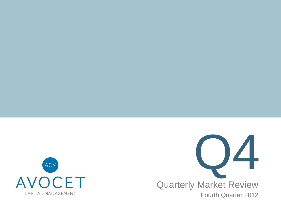



 Fourth Quarter 2012Quarterly Market Review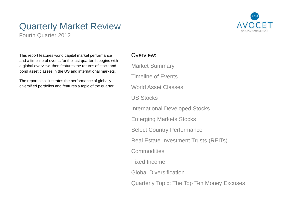## Quarterly Market Review

Fourth Quarter 2012



This report features world capital market performance and a timeline of events for the last quarter. It begins with a global overview, then features the returns of stock and bond asset classes in the US and international markets.

The report also illustrates the performance of globallydiversified portfolios and features a topic of the quarter.

### Overview:

Market SummaryTimeline of EventsWorld Asset ClassesUS StocksInternational Developed StocksEmerging Markets StocksSelect Country PerformanceReal Estate Investment Trusts (REITs)**Commodities** Fixed Income Global DiversificationQuarterly Topic: The Top Ten Money Excuses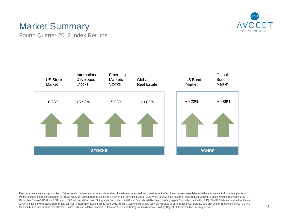

# Market Summary

Fourth Quarter 2012 Index Returns



Past performance is not a guarantee of future results. Indices are not available for direct investment. Index performance does not reflect the expenses associated with the management of an actual portfolio. Market segment (index representation) as follows: US Stock Market (Russell 3000 Index), International Developed Stocks (MSCI World ex USA Index [net div.]), Emerging Markets (MSCI Emerging Markets Index [net div.]), Global Real Estate (S&P Global REIT Index), US Bond Market (Barclays US Aggregate Bond Index), and Global Bond Market (Barclays Global Aggregate Bond Index [Hedged to USD]). The S&P data are provided by Standard & Poor's Index Services Group. Russell data copyright © Russell Investment Group 1995–2012, all rights reserved. MSCI data copyright MSCI 2012, all rights reserved. Barclays data provided by Barclays Bank PLC. US longterm bonds, bills, and inflation data © Stocks, Bonds, Bills, and Inflation Yearbook™, Ibbotson Associates, Chicago (annually updated work by Roger G. Ibbotson and Rex A. Sinquefield).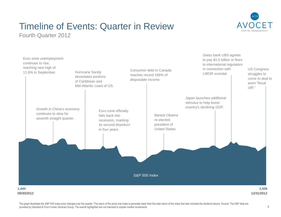# Timeline of Events: Quarter in Review



Fourth Quarter 2012



The graph illustrates the S&P 500 Index price changes over the quarter. The return of the price-only index is generally lower than the total return of the index that also includes the dividend returns. Source: The S&P data provided by Standard & Poor's Index Services Group. The events highlighted are not intended to explain market movements.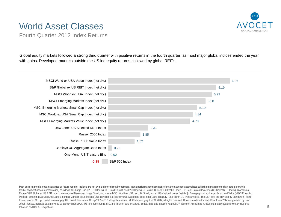## World Asset Classes



Fourth Quarter 2012 Index Returns

Global equity markets followed a strong third quarter with positive returns in the fourth quarter, as most major global indices ended the year with gains. Developed markets outside the US led equity returns, followed by global REITs.



Past performance is not a guarantee of future results. Indices are not available for direct investment. Index performance does not reflect the expenses associated with the management of an actual portfolio. Market segment (index representation) as follows: US Large Cap (S&P 500 Index), US Small Cap (Russell 2000 Index), US Value (Russell 1000 Value Index), US Real Estate (Dow Jones US Select REIT Index), Global Real Estate (S&P Global ex US REIT Index), International Developed Large, Small, and Value (MSCI World ex USA, ex USA Small, and ex USA Value Indexes [net div.]), Emerging Markets Large, Small, and Value (MSCI Emerging Markets, Emerging Markets Small, and Emerging Markets Value Indexes), US Bond Market (Barclays US Aggregate Bond Index), and Treasury (One-Month US Treasury Bills). The S&P data are provided by Standard & Poor's Index Services Group. Russell data copyright © Russell Investment Group 1995–2012, all rights reserved. MSCI data copyright MSCI 2012, all rights reserved. Dow Jones data (formerly Dow Jones Wilshire) provided by Dow Jones Indexes. Barclays data provided by Barclays Bank PLC. US long-term bonds, bills, and inflation data © Stocks, Bonds, Bills, and Inflation Yearbook™, Ibbotson Associates, Chicago (annually updated work by Roger G. Ibbotson and Rex A. Sinquefield).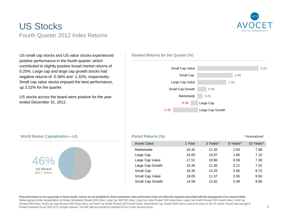

## US StocksFourth Quarter 2012 Index Returns

US small cap stocks and US value stocks experienced positive performance in the fourth quarter, which contributed to slightly positive broad market returns of 0.25%. Large cap and large cap growth stocks had negative returns of -0.38% and -1.32%, respectively. Small cap value stocks enjoyed the best performance, up 3.22% for the quarter.

US stocks across the board were positive for the year ended December 31, 2012.

### Ranked Returns for the Quarter (%)



### World Market Capitalization—US



### Period Returns (%) the contract of the contract of the contract of the contract of the contract of the contract of the contract of the contract of the contract of the contract of the contract of the contract of the contrac

| <b>Asset Class</b> | 1 Year | 3 Years* | 5 Years* | 10 Years* |
|--------------------|--------|----------|----------|-----------|
| Marketwide         | 16.42  | 11.20    | 2.04     | 7.68      |
| Large Cap          | 16.00  | 10.87    | 1.66     | 7.10      |
| Large Cap Value    | 17.51  | 10.86    | 0.59     | 7.38      |
| Large Cap Growth   | 15.26  | 11.35    | 3.12     | 7.52      |
| Small Cap          | 16.35  | 12.25    | 3.56     | 9.72      |
| Small Cap Value    | 18.05  | 11.57    | 3.55     | 9.50      |
| Small Cap Growth   | 14.59  | 12.82    | 3.49     | 9.80      |
|                    |        |          |          |           |

Past performance is not a guarantee of future results. Indices are not available for direct investment. Index performance does not reflect the expenses associated with the management of an actual portfolio. Market segment (index representation) as follows: Marketwide (Russell 3000 Index), Large Cap (S&P 500 Index), Large Cap Value (Russell 1000 Value Index), Large Cap Growth (Russell 1000 Growth Index), Small Cap (Russell 2000 Index), Small Cap Value (Russell 2000 Value Index), and Small Cap Growth (Russell 2000 Growth Index). World Market Cap: Russell 3000 Index is used as the proxy for the US market. Russell data copyright © Russell Investment Group 1995–2012, all rights reserved. The S&P data are provided by Standard & Poor's Index Services Group.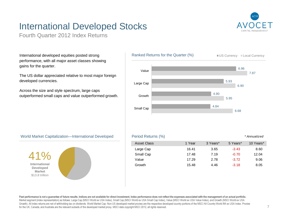# International Developed Stocks

Fourth Quarter 2012 Index Returns

International developed equities posted strong performance, with all major asset classes showing gains for the quarter.

The US dollar appreciated relative to most major foreign developed currencies.

Across the size and style spectrum, large caps outperformed small caps and value outperformed growth.



### World Market Capitalization—International Developed



#### Asset Class 1 Year 3 Years\* 5 Years\* 10 Years\* Large Cap 16.41 3.65 -3.43 8.60 Small Cap 17.48 7.19 -0.70 12.04 Value 17.29 2.78 -3.72 9.06 Growth 15.48 4.46-3.18 8.05

Period Returns (%) **Fig. 2** Annualized \* Annualized

Past performance is not a guarantee of future results. Indices are not available for direct investment. Index performance does not reflect the expenses associated with the management of an actual portfolio. Market segment (index representation) as follows: Large Cap (MSCI World ex USA Index), Small Cap (MSCI World ex USA Small Cap Index), Value (MSCI World ex USA Value Index), and Growth (MSCI World ex USA Growth). All index returns are net of withholding tax on dividends. World Market Cap: Non-US developed market proxies are the respective developed country portions of the MSCI All Country World IMI ex USA Index. Proxies for the UK, Canada, and Australia are the relevant subsets of the developed market proxy. MSCI data copyright MSCI 2012, all rights reserved.

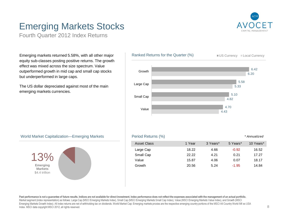## Emerging Markets Stocks

Fourth Quarter 2012 Index Returns

Emerging markets returned 5.58%, with all other major equity sub-classes posting positive returns. The growth effect was mixed across the size spectrum. Value outperformed growth in mid cap and small cap stocks but underperformed in large caps.

The US dollar depreciated against most of the main emerging markets currencies.



### World Market Capitalization—Emerging Markets



#### Period Returns (%) **Fig. 2** Annualized \* Annualized Asset Class 1 Year 3 Years\* 5 Years\* 10 Years\* Large Cap 18.22 4.66 -0.92 16.52 Small Cap 22.22 4.21 0.21 17.27 Value 15.87 4.06 0.07 18.17Growth 20.56 5.24-1.95 14.84

Past performance is not a guarantee of future results. Indices are not available for direct investment. Index performance does not reflect the expenses associated with the management of an actual portfolio. Market segment (index representation) as follows: Large Cap (MSCI Emerging Markets Index), Small Cap (MSCI Emerging Markets Small Cap Index), Value (MSCI Emerging Markets Value Index), and Growth (MSCI Emerging Markets Growth Index). All index returns are net of withholding tax on dividends. World Market Cap: Emerging markets proxies are the respective emerging country portions of the MSCI All Country World IMI ex USA Index. MSCI data copyright MSCI 2012, all rights reserved.

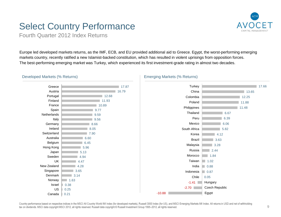## Select Country Performance



Fourth Quarter 2012 Index Returns

Europe led developed markets returns, as the IMF, ECB, and EU provided additional aid to Greece. Egypt, the worst-performing emerging markets country, recently ratified a new Islamist-backed constitution, which has resulted in violent uprisings from opposition forces. The best-performing emerging market was Turkey, which experienced its first investment-grade rating in almost two decades.



0.21

Canada

### Developed Markets (% Returns)



### Emerging Markets (% Returns)

Country performance based on respective indices in the MSCI All Country World IMI Index (for developed markets), Russell 3000 Index (for US), and MSCI Emerging Markets IMI Index. All returns in USD and net of withholdingtax on dividends. MSCI data copyright MSCI 2012, all rights reserved. Russell data copyright © Russell Investment Group 1995–2012, all rights reserved.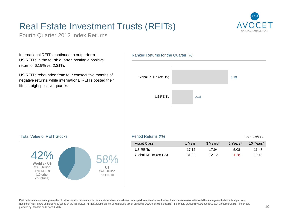## Real Estate Investment Trusts (REITs)



Fourth Quarter 2012 Index Returns

International REITs continued to outperform US REITs in the fourth quarter, posting a positive return of 6.19% vs. 2.31%.

US REITs rebounded from four consecutive months of negative returns, while international REITs posted their fifth straight positive quarter.

### Ranked Returns for the Quarter (%)



### Total Value of REIT Stocks



| Period Returns (%)   |        |          |          | * Annualized |
|----------------------|--------|----------|----------|--------------|
| Asset Class          | 1 Year | 3 Years* | 5 Years* | 10 Years*    |
| US REITS             | 17 12  | 17.94    | 5.08     | 11.48        |
| Global REITs (ex US) | 31.92  | 1212     | $-1.28$  | 10.43        |

#### Past performance is not a quarantee of future results. Indices are not available for direct investment. Index performance does not reflect the expenses associated with the management of an actual portfolio. Number of REIT stocks and total value based on the two indices. All index returns are net of withholding tax on dividends. Dow Jones US Select REIT Index data provided by Dow Jones ©. S&P Global ex US REIT Index data provided by Standard and Poor's © 2012.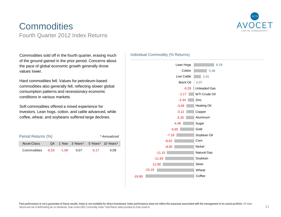

## **Commodities** Fourth Quarter 2012 Index Returns

Commodities sold off in the fourth quarter, erasing much of the ground gained in the prior period. Concerns about the pace of global economic growth generally drove values lower.

Hard commodities fell. Values for petroleum-based commodities also generally fell, reflecting slower global consumption patterns and recessionary economic conditions in various markets.

Soft commodities offered a mixed experience for investors. Lean hogs, cotton, and cattle advanced, while coffee, wheat, and soybeans suffered large declines.

| Period Returns (%) |             |  |                                       |         | * Annualized |
|--------------------|-------------|--|---------------------------------------|---------|--------------|
| Asset Class        |             |  | Q4 1 Year 3 Years* 5 Years* 10 Years* |         |              |
| Commodities        | -6.33 -1.06 |  | <u>በ በ7</u>                           | $-5.17$ | 4.09         |

### Individual Commodity (% Returns)

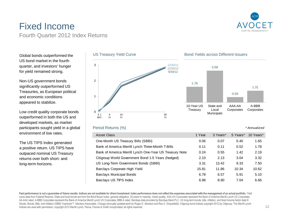

## Fixed IncomeFourth Quarter 2012 Index Returns

Global bonds outperformed the US bond market in the fourth quarter, and investors' hunger for yield remained strong.

Non-US government bonds significantly outperformed US Treasuries, as European political and economic conditions appeared to stabilize.

Low credit quality corporate bonds outperformed in both the US and developed markets, as market participants sought yield in a global environment of low rates.

The US TIPS Index generated a positive return. US TIPS have outpaced nominal US Treasury returns over both short- and long-term horizons.





### Period Returns (%)



Past performance is not a guarantee of future results. Indices are not available for direct investment. Index performance does not reflect the expenses associated with the management of an actual portfolio. Yield curve data from Federal Reserve. State and local bonds are from the Bond Buyer Index, general obligation, 20 years to maturity, mixed quality. AAA-AA Corporates represent the Bank of America Merrill Lynch US Corporates, AA-AAA rated. A-BBB Corporates represent the Bank of America Merrill Lynch US Corporates, BBB-A rated. Barclays data provided by Barclays Bank PLC. US long-term bonds, bills, inflation, and fixed income factor data © Stocks, Bonds, Bills, and Inflation (SBBI) Yearbook™, Ibbotson Associates, Chicago (annually updated work by Roger G. Ibbotson and Rex A. Sinquefield). Citigroup bond indices copyright 2012 by Citigroup. The Merrill Lynch Indices are used with permission; copyright 2012 Merrill Lynch, Pierce, Fenner & Smith Incorporated; all rights reserved.



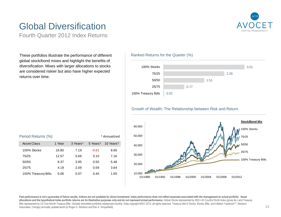# Global Diversification

Fourth Quarter 2012 Index Returns

These portfolios illustrate the performance of different global stock/bond mixes and highlight the benefits of diversification. Mixes with larger allocations to stocks are considered riskier but also have higher expected returns over time.

### Asset Class 1 Year 3 Years\* 5 Years\* 10 Years\* 100% Stocks 16.80 7.19 -0.61 8.66 75/25 12.57 5.66 0.10 7.1650/50 8.37 3.95 0.50 5.48Period Returns (%) example a state of the state of the state of the state of the state of the state of the state of the state of the state of the state of the state of the state of the state of the state of the state of th

25/75 4.19 2.09 0.59 3.64100% Treasury Bills 0.06 0.07 0.40 1.65

### Ranked Returns for the Quarter (%)



### Growth of Wealth: The Relationship between Risk and Return



Past performance is not a guarantee of future results. Indices are not available for direct investment. Index performance does not reflect expenses associated with the management an actual portfolio. Asset allocations and the hypothetical index portfolio returns are for illustrative purposes only and do not represent actual performance. Global Stocks represented by MSCI All Country World Index (gross div.) and Treasury Bills represented by US One-Month Treasury Bills. Globally diversified portfolios rebalanced monthly. Data copyright MSCI 2012, all rights reserved. Treasury bills © Stocks, Bonds, Bills, and Inflation Yearbook™, Ibbotson Associates, Chicago (annually updated work by Roger G. Ibbotson and Rex A. Sinquefield).